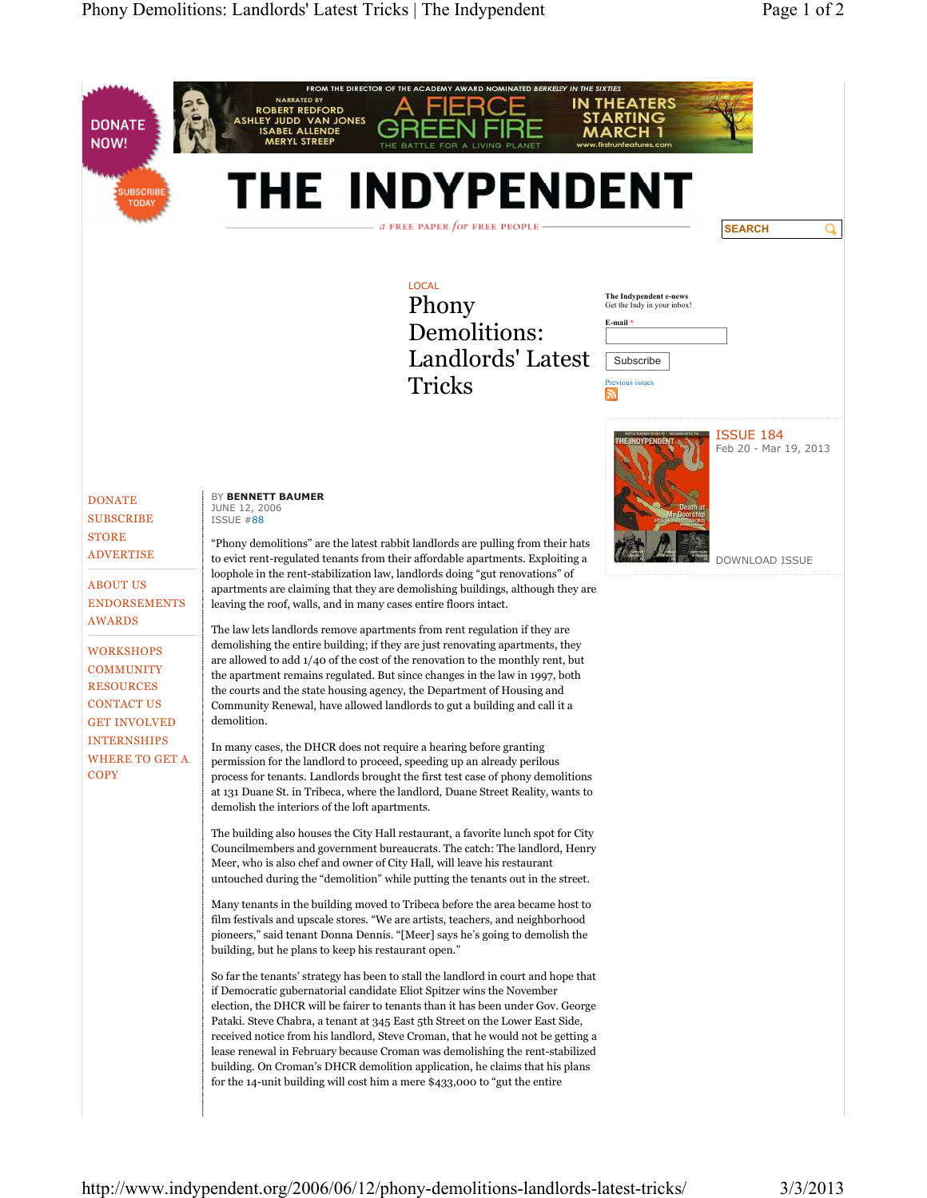